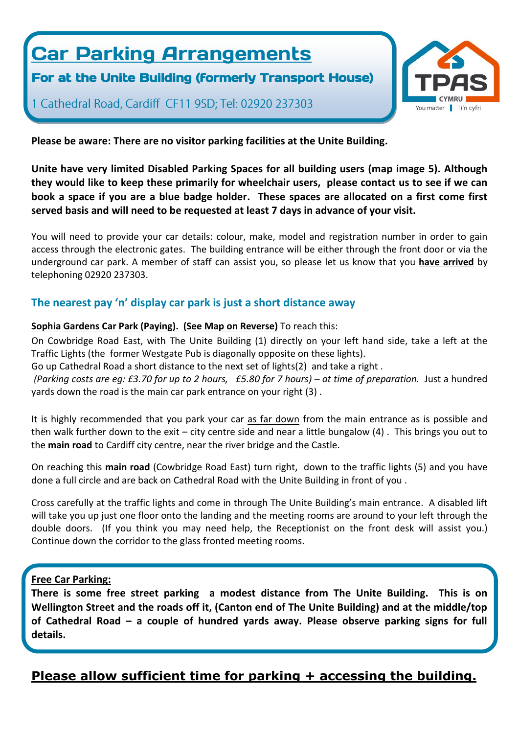# Car Parking Arrangements

For at the Unite Building (formerly Transport House)

1 Cathedral Road, Cardiff CF11 9SD; Tel: 02920 237303



**Please be aware: There are no visitor parking facilities at the Unite Building.** 

**Unite have very limited Disabled Parking Spaces for all building users (map image 5). Although they would like to keep these primarily for wheelchair users, please contact us to see if we can book a space if you are a blue badge holder. These spaces are allocated on a first come first served basis and will need to be requested at least 7 days in advance of your visit.** 

You will need to provide your car details: colour, make, model and registration number in order to gain access through the electronic gates. The building entrance will be either through the front door or via the underground car park. A member of staff can assist you, so please let us know that you **have arrived** by telephoning 02920 237303.

#### **The nearest pay 'n' display car park is just a short distance away**

#### **Sophia Gardens Car Park (Paying). (See Map on Reverse)** To reach this:

On Cowbridge Road East, with The Unite Building (1) directly on your left hand side, take a left at the Traffic Lights (the former Westgate Pub is diagonally opposite on these lights).

Go up Cathedral Road a short distance to the next set of lights(2) and take a right .

*(Parking costs are eg: £3.70 for up to 2 hours, £5.80 for 7 hours) – at time of preparation.* Just a hundred yards down the road is the main car park entrance on your right (3) .

It is highly recommended that you park your car as far down from the main entrance as is possible and then walk further down to the exit – city centre side and near a little bungalow (4) . This brings you out to the **main road** to Cardiff city centre, near the river bridge and the Castle.

On reaching this **main road** (Cowbridge Road East) turn right, down to the traffic lights (5) and you have done a full circle and are back on Cathedral Road with the Unite Building in front of you .

Cross carefully at the traffic lights and come in through The Unite Building's main entrance. A disabled lift will take you up just one floor onto the landing and the meeting rooms are around to your left through the double doors. (If you think you may need help, the Receptionist on the front desk will assist you.) Continue down the corridor to the glass fronted meeting rooms.

#### **Free Car Parking:**

**There is some free street parking a modest distance from The Unite Building. This is on Wellington Street and the roads off it, (Canton end of The Unite Building) and at the middle/top of Cathedral Road – a couple of hundred yards away. Please observe parking signs for full details.**

### **Please allow sufficient time for parking + accessing the building.**